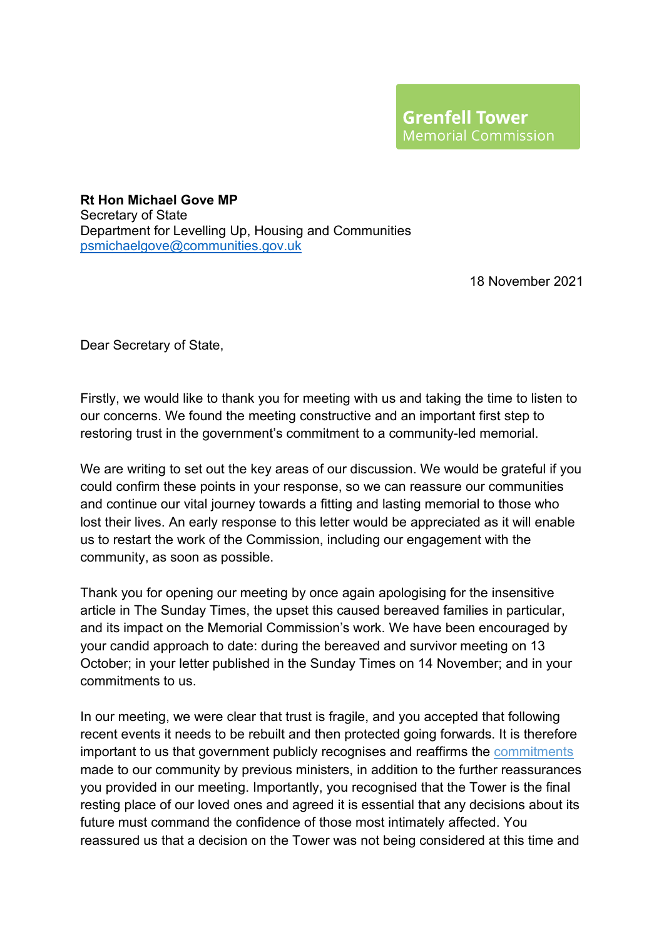**Rt Hon Michael Gove MP** Secretary of State Department for Levelling Up, Housing and Communities [psmichaelgove@communities.gov.uk](mailto:psmichaelgove@communities.gov.uk)

18 November 2021

Dear Secretary of State,

Firstly, we would like to thank you for meeting with us and taking the time to listen to our concerns. We found the meeting constructive and an important first step to restoring trust in the government's commitment to a community-led memorial.

We are writing to set out the key areas of our discussion. We would be grateful if you could confirm these points in your response, so we can reassure our communities and continue our vital journey towards a fitting and lasting memorial to those who lost their lives. An early response to this letter would be appreciated as it will enable us to restart the work of the Commission, including our engagement with the community, as soon as possible.

Thank you for opening our meeting by once again apologising for the insensitive article in The Sunday Times, the upset this caused bereaved families in particular, and its impact on the Memorial Commission's work. We have been encouraged by your candid approach to date: during the bereaved and survivor meeting on 13 October; in your letter published in the Sunday Times on 14 November; and in your commitments to us.

In our meeting, we were clear that trust is fragile, and you accepted that following recent events it needs to be rebuilt and then protected going forwards. It is therefore important to us that government publicly recognises and reaffirms [the commitments](https://gbr01.safelinks.protection.outlook.com/?url=https%3A%2F%2Fassets.publishing.service.gov.uk%2Fgovernment%2Fuploads%2Fsystem%2Fuploads%2Fattachment_data%2Ffile%2F684522%2FFuture_of_Grenfell_Tower_site_-_letter_from_Ministers_180227.pdf&data=04%7C01%7CDaisy.Thomson%40communities.gov.uk%7C884edb21171848ba2aed08d97697f9f9%7Cbf3468109c7d43dea87224a2ef3995a8%7C0%7C0%7C637671217526511230%7CUnknown%7CTWFpbGZsb3d8eyJWIjoiMC4wLjAwMDAiLCJQIjoiV2luMzIiLCJBTiI6Ik1haWwiLCJXVCI6Mn0%3D%7C1000&sdata=e3Kz4STAyiE200h07LrX%2FGHaSNhX0ETub0oZZ%2FJiH8s%3D&reserved=0) made to our community by previous ministers, in addition to the further reassurances you provided in our meeting. Importantly, you recognised that the Tower is the final resting place of our loved ones and agreed it is essential that any decisions about its future must command the confidence of those most intimately affected. You reassured us that a decision on the Tower was not being considered at this time and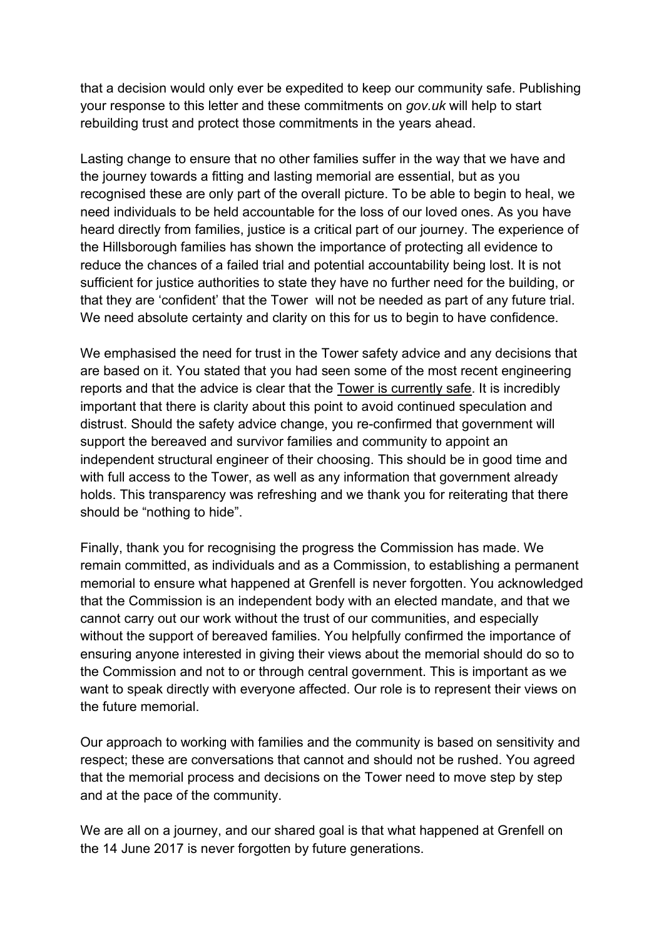that a decision would only ever be expedited to keep our community safe. Publishing your response to this letter and these commitments on *gov.uk* will help to start rebuilding trust and protect those commitments in the years ahead.

Lasting change to ensure that no other families suffer in the way that we have and the journey towards a fitting and lasting memorial are essential, but as you recognised these are only part of the overall picture. To be able to begin to heal, we need individuals to be held accountable for the loss of our loved ones. As you have heard directly from families, justice is a critical part of our journey. The experience of the Hillsborough families has shown the importance of protecting all evidence to reduce the chances of a failed trial and potential accountability being lost. It is not sufficient for justice authorities to state they have no further need for the building, or that they are 'confident' that the Tower will not be needed as part of any future trial. We need absolute certainty and clarity on this for us to begin to have confidence.

We emphasised the need for trust in the Tower safety advice and any decisions that are based on it. You stated that you had seen some of the most recent engineering reports and that the advice is clear that the Tower is currently safe. It is incredibly important that there is clarity about this point to avoid continued speculation and distrust. Should the safety advice change, you re-confirmed that government will support the bereaved and survivor families and community to appoint an independent structural engineer of their choosing. This should be in good time and with full access to the Tower, as well as any information that government already holds. This transparency was refreshing and we thank you for reiterating that there should be "nothing to hide".

Finally, thank you for recognising the progress the Commission has made. We remain committed, as individuals and as a Commission, to establishing a permanent memorial to ensure what happened at Grenfell is never forgotten. You acknowledged that the Commission is an independent body with an elected mandate, and that we cannot carry out our work without the trust of our communities, and especially without the support of bereaved families. You helpfully confirmed the importance of ensuring anyone interested in giving their views about the memorial should do so to the Commission and not to or through central government. This is important as we want to speak directly with everyone affected. Our role is to represent their views on the future memorial.

Our approach to working with families and the community is based on sensitivity and respect; these are conversations that cannot and should not be rushed. You agreed that the memorial process and decisions on the Tower need to move step by step and at the pace of the community.

We are all on a journey, and our shared goal is that what happened at Grenfell on the 14 June 2017 is never forgotten by future generations.